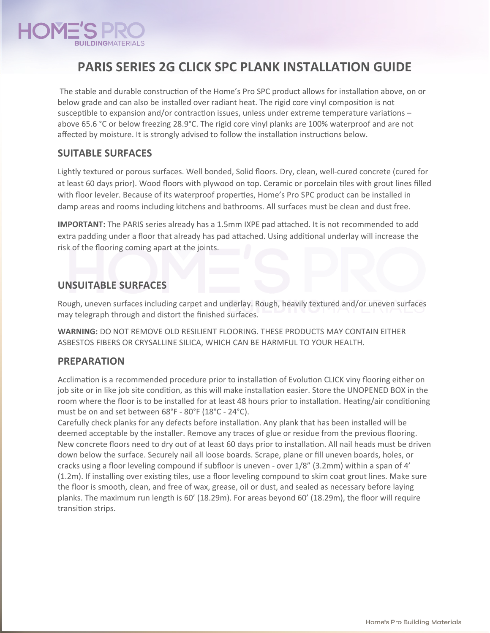

# **PARIS SERIES 2G CLICK SPC PLANK INSTALLATION GUIDE**

The stable and durable construction of the Home's Pro SPC product allows for installation above, on or below grade and can also be installed over radiant heat. The rigid core vinyl composition is not susceptible to expansion and/or contraction issues, unless under extreme temperature variations – above 65.6 °C or below freezing 28.9°C. The rigid core vinyl planks are 100% waterproof and are not affected by moisture. It is strongly advised to follow the installation instructions below.

## **SUITABLE SURFACES**

Lightly textured or porous surfaces. Well bonded, Solid floors. Dry, clean, well-cured concrete (cured for at least 60 days prior). Wood floors with plywood on top. Ceramic or porcelain tiles with grout lines filled with floor leveler. Because of its waterproof properties, Home's Pro SPC product can be installed in damp areas and rooms including kitchens and bathrooms. All surfaces must be clean and dust free.

**IMPORTANT:** The PARIS series already has a 1.5mm IXPE pad attached. It is not recommended to add extra padding under a floor that already has pad attached. Using additional underlay will increase the risk of the flooring coming apart at the joints.

# **UNSUITABLE SURFACES**

Rough, uneven surfaces including carpet and underlay. Rough, heavily textured and/or uneven surfaces may telegraph through and distort the finished surfaces.

**WARNING:** DO NOT REMOVE OLD RESILIENT FLOORING. THESE PRODUCTS MAY CONTAIN EITHER ASBESTOS FIBERS OR CRYSALLINE SILICA, WHICH CAN BE HARMFUL TO YOUR HEALTH.

### **PREPARATION**

Acclimation is a recommended procedure prior to installation of Evolution CLICK viny flooring either on job site or in like job site condition, as this will make installation easier. Store the UNOPENED BOX in the room where the floor is to be installed for at least 48 hours prior to installation. Heating/air conditioning must be on and set between 68°F - 80°F (18°C - 24°C).

Carefully check planks for any defects before installation. Any plank that has been installed will be deemed acceptable by the installer. Remove any traces of glue or residue from the previous flooring. New concrete floors need to dry out of at least 60 days prior to installation. All nail heads must be driven down below the surface. Securely nail all loose boards. Scrape, plane or fill uneven boards, holes, or cracks using a floor leveling compound if subfloor is uneven - over 1/8" (3.2mm) within a span of 4' (1.2m). If installing over existing tiles, use a floor leveling compound to skim coat grout lines. Make sure the floor is smooth, clean, and free of wax, grease, oil or dust, and sealed as necessary before laying planks. The maximum run length is 60' (18.29m). For areas beyond 60' (18.29m), the floor will require transition strips.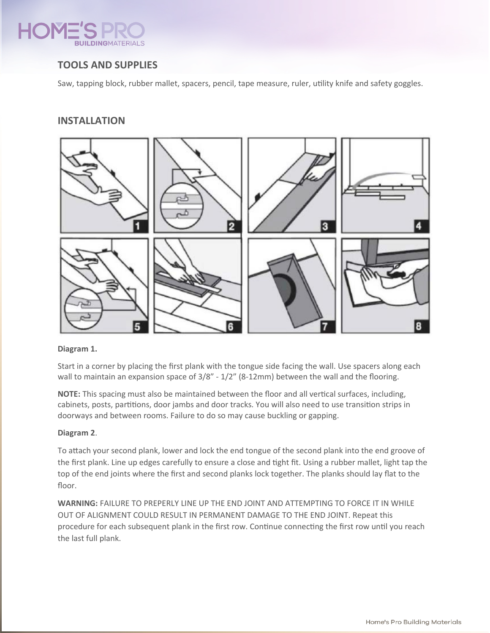

# **TOOLS AND SUPPLIES**

Saw, tapping block, rubber mallet, spacers, pencil, tape measure, ruler, utility knife and safety goggles.

### **INSTALLATION**



#### **Diagram 1.**

Start in a corner by placing the first plank with the tongue side facing the wall. Use spacers along each wall to maintain an expansion space of  $3/8$ " -  $1/2$ " (8-12mm) between the wall and the flooring.

**NOTE:** This spacing must also be maintained between the floor and all vertical surfaces, including, cabinets, posts, partitions, door jambs and door tracks. You will also need to use transition strips in doorways and between rooms. Failure to do so may cause buckling or gapping.

### **Diagram 2**.

To attach your second plank, lower and lock the end tongue of the second plank into the end groove of the first plank. Line up edges carefully to ensure a close and tight fit. Using a rubber mallet, light tap the top of the end joints where the first and second planks lock together. The planks should lay flat to the floor.

**WARNING:** FAILURE TO PREPERLY LINE UP THE END JOINT AND ATTEMPTING TO FORCE IT IN WHILE OUT OF ALIGNMENT COULD RESULT IN PERMANENT DAMAGE TO THE END JOINT. Repeat this procedure for each subsequent plank in the first row. Continue connecting the first row until you reach the last full plank.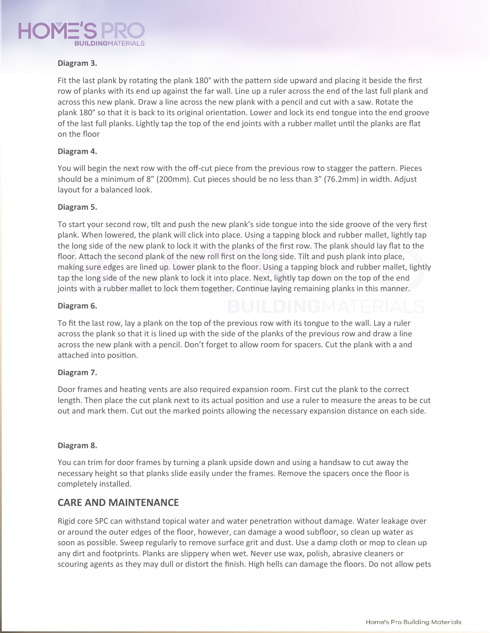

#### **Diagram 3.**

Fit the last plank by rotating the plank 180° with the pattern side upward and placing it beside the first row of planks with its end up against the far wall. Line up a ruler across the end of the last full plank and across this new plank. Draw a line across the new plank with a pencil and cut with a saw. Rotate the plank 180° so that it is back to its original orientation. Lower and lock its end tongue into the end groove of the last full planks. Lightly tap the top of the end joints with a rubber mallet until the planks are flat on the floor

#### **Diagram 4.**

You will begin the next row with the off-cut piece from the previous row to stagger the pattern. Pieces should be a minimum of 8" (200mm). Cut pieces should be no less than 3" (76.2mm) in width. Adjust layout for a balanced look.

#### **Diagram 5.**

To start your second row, tilt and push the new plank's side tongue into the side groove of the very first plank. When lowered, the plank will click into place. Using a tapping block and rubber mallet, lightly tap the long side of the new plank to lock it with the planks of the first row. The plank should lay flat to the floor. Attach the second plank of the new roll first on the long side. Tilt and push plank into place, making sure edges are lined up. Lower plank to the floor. Using a tapping block and rubber mallet, lightly tap the long side of the new plank to lock it into place. Next, lightly tap down on the top of the end joints with a rubber mallet to lock them together. Continue laying remaining planks in this manner.

#### **Diagram 6.**

To fit the last row, lay a plank on the top of the previous row with its tongue to the wall. Lay a ruler across the plank so that it is lined up with the side of the planks of the previous row and draw a line across the new plank with a pencil. Don't forget to allow room for spacers. Cut the plank with a and attached into position.

#### **Diagram 7.**

Door frames and heating vents are also required expansion room. First cut the plank to the correct length. Then place the cut plank next to its actual position and use a ruler to measure the areas to be cut out and mark them. Cut out the marked points allowing the necessary expansion distance on each side.

#### **Diagram 8.**

You can trim for door frames by turning a plank upside down and using a handsaw to cut away the necessary height so that planks slide easily under the frames. Remove the spacers once the floor is completely installed.

### **CARE AND MAINTENANCE**

Rigid core SPC can withstand topical water and water penetration without damage. Water leakage over or around the outer edges of the floor, however, can damage a wood subfloor, so clean up water as soon as possible. Sweep regularly to remove surface grit and dust. Use a damp cloth or mop to clean up any dirt and footprints. Planks are slippery when wet. Never use wax, polish, abrasive cleaners or scouring agents as they may dull or distort the finish. High hells can damage the floors. Do not allow pets